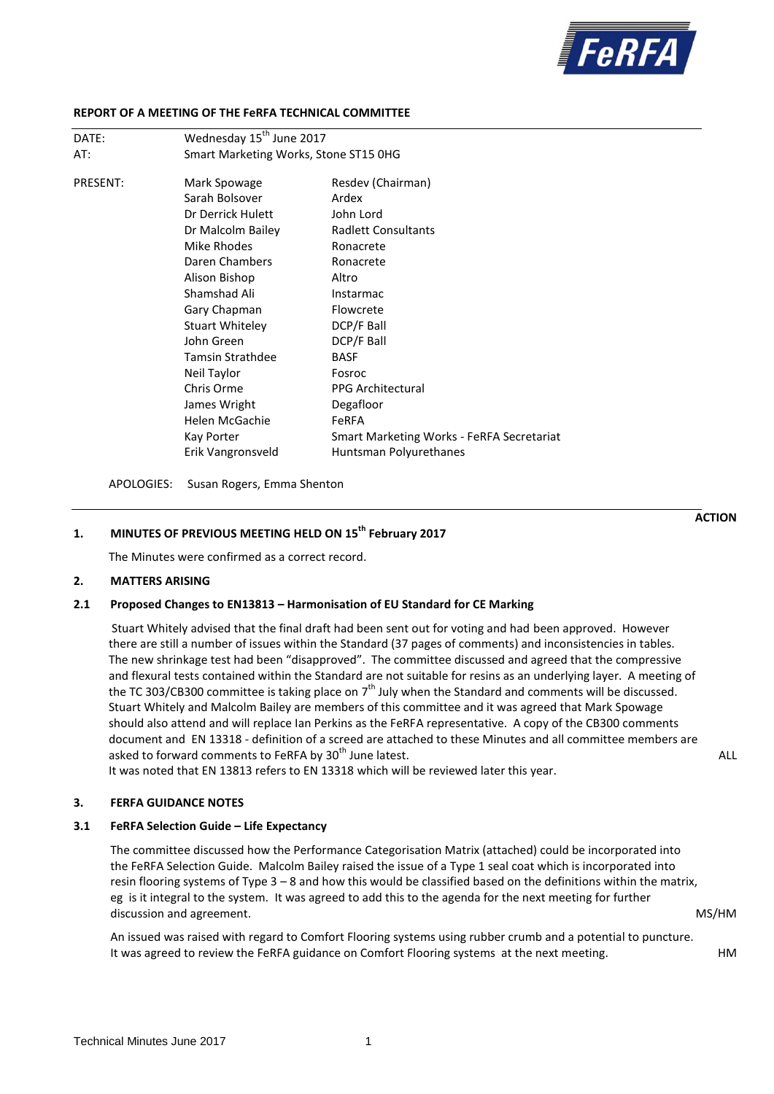

#### **REPORT OF A MEETING OF THE FeRFA TECHNICAL COMMITTEE**

| DATE:           | Wednesday 15 <sup>th</sup> June 2017  |                                                  |  |
|-----------------|---------------------------------------|--------------------------------------------------|--|
| AT:             | Smart Marketing Works, Stone ST15 0HG |                                                  |  |
| <b>PRESENT:</b> | Mark Spowage                          | Resdev (Chairman)                                |  |
|                 | Sarah Bolsover                        | Ardex                                            |  |
|                 | Dr Derrick Hulett                     | John Lord                                        |  |
|                 | Dr Malcolm Bailey                     | <b>Radlett Consultants</b>                       |  |
|                 | Mike Rhodes                           | Ronacrete                                        |  |
|                 | Daren Chambers                        | Ronacrete                                        |  |
|                 | Alison Bishop                         | Altro                                            |  |
|                 | Shamshad Ali                          | Instarmac                                        |  |
|                 | Gary Chapman                          | Flowcrete                                        |  |
|                 | <b>Stuart Whiteley</b>                | DCP/F Ball                                       |  |
|                 | John Green                            | DCP/F Ball                                       |  |
|                 | <b>Tamsin Strathdee</b>               | <b>BASF</b>                                      |  |
|                 | Neil Taylor                           | Fosroc                                           |  |
|                 | Chris Orme                            | <b>PPG Architectural</b>                         |  |
|                 | James Wright                          | Degafloor                                        |  |
|                 | Helen McGachie                        | <b>FeRFA</b>                                     |  |
|                 | Kay Porter                            | <b>Smart Marketing Works - FeRFA Secretariat</b> |  |
|                 | Erik Vangronsveld                     | Huntsman Polyurethanes                           |  |
|                 |                                       |                                                  |  |

APOLOGIES: Susan Rogers, Emma Shenton

# **1. MINUTES OF PREVIOUS MEETING HELD ON 15 th February 2017**

The Minutes were confirmed as a correct record.

#### **2. MATTERS ARISING**

#### **2.1 Proposed Changes to EN13813 – Harmonisation of EU Standard for CE Marking**

Stuart Whitely advised that the final draft had been sent out for voting and had been approved. However there are still a number of issues within the Standard (37 pages of comments) and inconsistencies in tables. The new shrinkage test had been "disapproved". The committee discussed and agreed that the compressive and flexural tests contained within the Standard are not suitable for resins as an underlying layer. A meeting of the TC 303/CB300 committee is taking place on  $7<sup>th</sup>$  July when the Standard and comments will be discussed. Stuart Whitely and Malcolm Bailey are members of this committee and it was agreed that Mark Spowage should also attend and will replace Ian Perkins as the FeRFA representative. A copy of the CB300 comments document and EN 13318 - definition of a screed are attached to these Minutes and all committee members are asked to forward comments to FeRFA by 30<sup>th</sup> June latest. ALL and the state of the state of the state of the state of the state of the state of the state of the state of the state of the state of the state of the state of

It was noted that EN 13813 refers to EN 13318 which will be reviewed later this year.

#### **3. FERFA GUIDANCE NOTES**

## **3.1 FeRFA Selection Guide – Life Expectancy**

The committee discussed how the Performance Categorisation Matrix (attached) could be incorporated into the FeRFA Selection Guide. Malcolm Bailey raised the issue of a Type 1 seal coat which is incorporated into resin flooring systems of Type 3 – 8 and how this would be classified based on the definitions within the matrix, eg is it integral to the system. It was agreed to add this to the agenda for the next meeting for further discussion and agreement. The matrix of the matrix of the matrix of the matrix of the matrix of the matrix of the matrix of the matrix of the matrix of the matrix of the matrix of the matrix of the matrix of the matrix of

An issued was raised with regard to Comfort Flooring systems using rubber crumb and a potential to puncture. It was agreed to review the FeRFA guidance on Comfort Flooring systems at the next meeting. HM

**ACTION**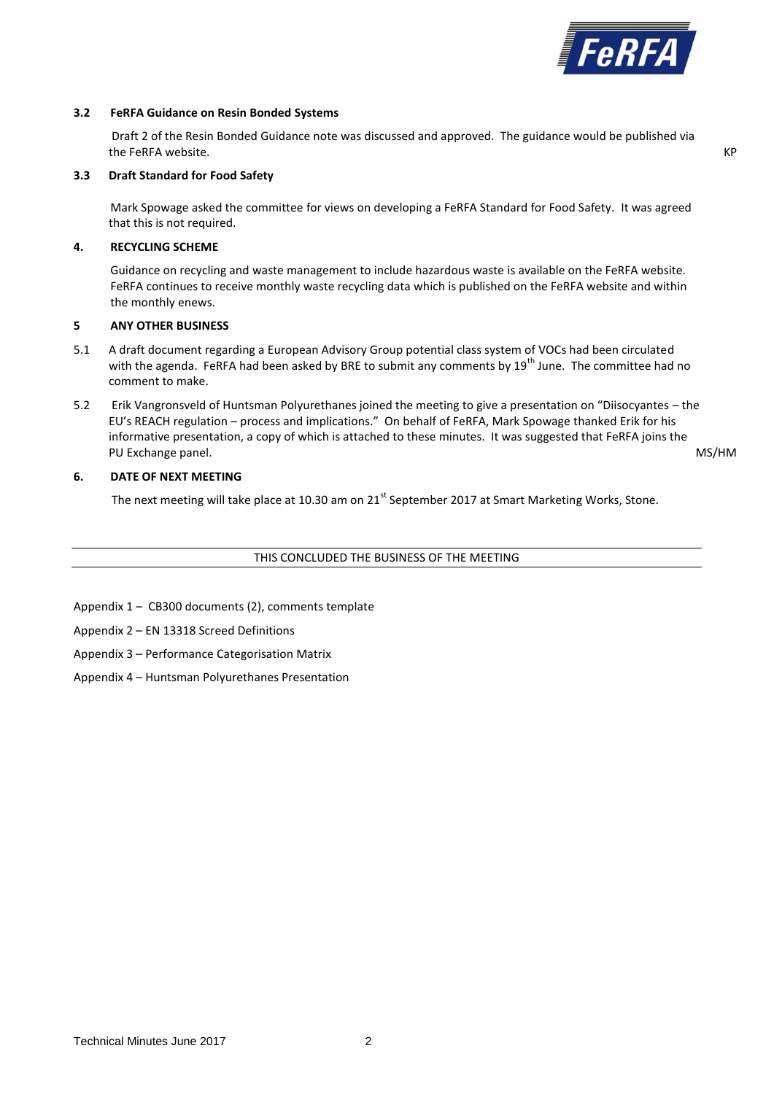

#### **3.2 FeRFA Guidance on Resin Bonded Systems**

Draft 2 of the Resin Bonded Guidance note was discussed and approved. The guidance would be published via the FeRFA website. KP that is a state of the state of the state of the state of the state of the state of the state of the state of the state of the state of the state of the state of the state of the state of the state of

### **3.3 Draft Standard for Food Safety**

Mark Spowage asked the committee for views on developing a FeRFA Standard for Food Safety. It was agreed that this is not required.

# **4. RECYCLING SCHEME**

Guidance on recycling and waste management to include hazardous waste is available on the FeRFA website. FeRFA continues to receive monthly waste recycling data which is published on the FeRFA website and within the monthly enews.

# **5 ANY OTHER BUSINESS**

- 5.1 A draft document regarding a European Advisory Group potential class system of VOCs had been circulated with the agenda. FeRFA had been asked by BRE to submit any comments by  $19^{th}$  June. The committee had no comment to make.
- 5.2 Erik Vangronsveld of Huntsman Polyurethanes joined the meeting to give a presentation on "Diisocyantes the EU's REACH regulation – process and implications." On behalf of FeRFA, Mark Spowage thanked Erik for his informative presentation, a copy of which is attached to these minutes. It was suggested that FeRFA joins the PU Exchange panel. MS/HM

# **6. DATE OF NEXT MEETING**

The next meeting will take place at 10.30 am on 21<sup>st</sup> September 2017 at Smart Marketing Works, Stone.

## THIS CONCLUDED THE BUSINESS OF THE MEETING

Appendix 1 – CB300 documents (2), comments template

Appendix 2 – EN 13318 Screed Definitions

- Appendix 3 Performance Categorisation Matrix
- Appendix 4 Huntsman Polyurethanes Presentation